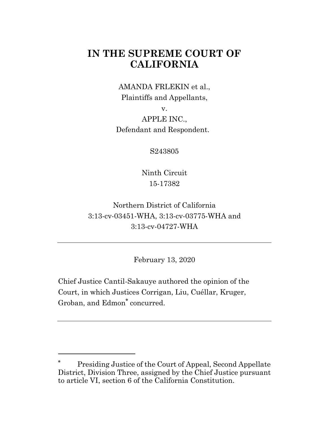# **IN THE SUPREME COURT OF CALIFORNIA**

AMANDA FRLEKIN et al., Plaintiffs and Appellants,

v.

APPLE INC., Defendant and Respondent.

S243805

Ninth Circuit 15-17382

Northern District of California 3:13-cv-03451-WHA, 3:13-cv-03775-WHA and 3:13-cv-04727-WHA

February 13, 2020

Chief Justice Cantil-Sakauye authored the opinion of the Court, in which Justices Corrigan, Liu, Cuéllar, Kruger, Groban, and Edmon**\*** concurred.

**<sup>\*</sup>** Presiding Justice of the Court of Appeal, Second Appellate District, Division Three, assigned by the Chief Justice pursuant to article VI, section 6 of the California Constitution.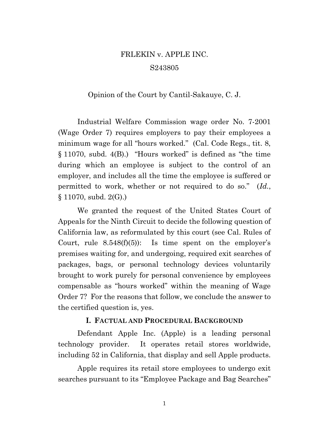# FRLEKIN v. APPLE INC. S243805

#### Opinion of the Court by Cantil-Sakauye, C. J.

Industrial Welfare Commission wage order No. 7-2001 (Wage Order 7) requires employers to pay their employees a minimum wage for all "hours worked." (Cal. Code Regs., tit. 8,  $§ 11070$ , subd. 4(B).) "Hours worked" is defined as "the time during which an employee is subject to the control of an employer, and includes all the time the employee is suffered or permitted to work, whether or not required to do so." (*Id.*,  $\S 11070$ , subd.  $2(G)$ .)

We granted the request of the United States Court of Appeals for the Ninth Circuit to decide the following question of California law, as reformulated by this court (see Cal. Rules of Court, rule  $8.548(f)(5)$ : Is time spent on the employer's premises waiting for, and undergoing, required exit searches of packages, bags, or personal technology devices voluntarily brought to work purely for personal convenience by employees compensable as "hours worked" within the meaning of Wage Order 7? For the reasons that follow, we conclude the answer to the certified question is, yes.

#### **I. FACTUAL AND PROCEDURAL BACKGROUND**

Defendant Apple Inc. (Apple) is a leading personal technology provider. It operates retail stores worldwide, including 52 in California, that display and sell Apple products.

Apple requires its retail store employees to undergo exit searches pursuant to its "Employee Package and Bag Searches"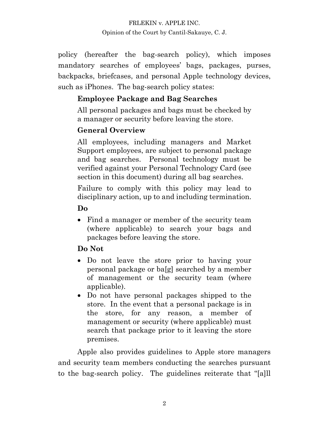policy (hereafter the bag-search policy), which imposes mandatory searches of employees' bags, packages, purses, backpacks, briefcases, and personal Apple technology devices, such as iPhones. The bag-search policy states:

# **Employee Package and Bag Searches**

All personal packages and bags must be checked by a manager or security before leaving the store.

# **General Overview**

All employees, including managers and Market Support employees, are subject to personal package and bag searches. Personal technology must be verified against your Personal Technology Card (see section in this document) during all bag searches.

Failure to comply with this policy may lead to disciplinary action, up to and including termination.

**Do**

• Find a manager or member of the security team (where applicable) to search your bags and packages before leaving the store.

# **Do Not**

- Do not leave the store prior to having your personal package or ba[g] searched by a member of management or the security team (where applicable).
- Do not have personal packages shipped to the store. In the event that a personal package is in the store, for any reason, a member of management or security (where applicable) must search that package prior to it leaving the store premises.

Apple also provides guidelines to Apple store managers and security team members conducting the searches pursuant to the bag-search policy. The guidelines reiterate that "[a]ll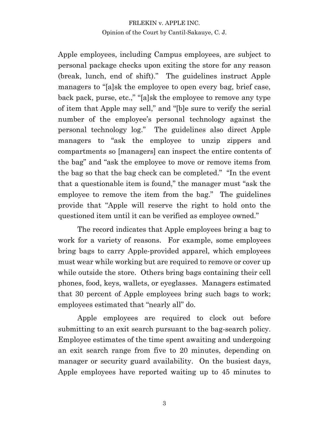Apple employees, including Campus employees, are subject to personal package checks upon exiting the store for any reason (break, lunch, end of shift)." The guidelines instruct Apple managers to "[a]sk the employee to open every bag, brief case, back pack, purse, etc.," "[a]sk the employee to remove any type of item that Apple may sell," and "[b]e sure to verify the serial number of the employee's personal technology against the personal technology log.µ The guidelines also direct Apple managers to "ask the employee to unzip zippers and compartments so [managers] can inspect the entire contents of the bag" and "ask the employee to move or remove items from the bag so that the bag check can be completed." "In the event" that a questionable item is found," the manager must "ask the employee to remove the item from the bag." The guidelines provide that "Apple will reserve the right to hold onto the questioned item until it can be verified as employee owned."

The record indicates that Apple employees bring a bag to work for a variety of reasons. For example, some employees bring bags to carry Apple-provided apparel, which employees must wear while working but are required to remove or cover up while outside the store. Others bring bags containing their cell phones, food, keys, wallets, or eyeglasses. Managers estimated that 30 percent of Apple employees bring such bags to work; employees estimated that "nearly all" do.

Apple employees are required to clock out before submitting to an exit search pursuant to the bag-search policy. Employee estimates of the time spent awaiting and undergoing an exit search range from five to 20 minutes, depending on manager or security guard availability. On the busiest days, Apple employees have reported waiting up to 45 minutes to

3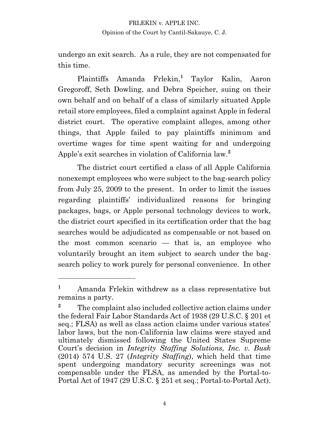undergo an exit search. As a rule, they are not compensated for this time.

Plaintiffs Amanda Frlekin,**<sup>1</sup>** Taylor Kalin, Aaron Gregoroff, Seth Dowling, and Debra Speicher, suing on their own behalf and on behalf of a class of similarly situated Apple retail store employees, filed a complaint against Apple in federal district court. The operative complaint alleges, among other things, that Apple failed to pay plaintiffs minimum and overtime wages for time spent waiting for and undergoing Apple's exit searches in violation of California law.<sup>2</sup>

The district court certified a class of all Apple California nonexempt employees who were subject to the bag-search policy from July 25, 2009 to the present. In order to limit the issues regarding plaintiffs· individualized reasons for bringing packages, bags, or Apple personal technology devices to work, the district court specified in its certification order that the bag searches would be adjudicated as compensable or not based on the most common scenario — that is, an employee who voluntarily brought an item subject to search under the bagsearch policy to work purely for personal convenience. In other

**<sup>1</sup>** Amanda Frlekin withdrew as a class representative but remains a party.

<sup>&</sup>lt;sup>2</sup> The complaint also included collective action claims under the federal Fair Labor Standards Act of 1938 (29 U.S.C. § 201 et seq.; FLSA) as well as class action claims under various states' labor laws, but the non-California law claims were stayed and ultimately dismissed following the United States Supreme Court's decision in *Integrity Staffing Solutions, Inc. v. Busk* (2014) 574 U.S. 27 (*Integrity Staffing*), which held that time spent undergoing mandatory security screenings was not compensable under the FLSA, as amended by the Portal-to-Portal Act of 1947 (29 U.S.C. § 251 et seq.; Portal-to-Portal Act).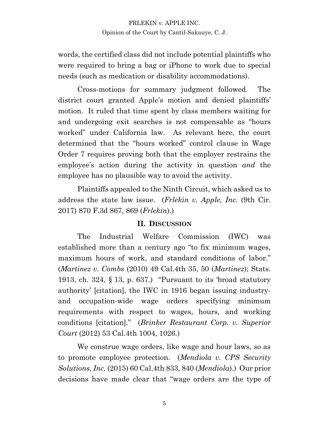words, the certified class did not include potential plaintiffs who were required to bring a bag or iPhone to work due to special needs (such as medication or disability accommodations).

Cross-motions for summary judgment followed. The district court granted Apple's motion and denied plaintiffs' motion. It ruled that time spent by class members waiting for and undergoing exit searches is not compensable as "hours worked" under California law. As relevant here, the court determined that the "hours worked" control clause in Wage Order 7 requires proving both that the employer restrains the employee's action during the activity in question *and* the employee has no plausible way to avoid the activity.

Plaintiffs appealed to the Ninth Circuit, which asked us to address the state law issue. (*Frlekin v. Apple, Inc.* (9th Cir. 2017) 870 F.3d 867, 869 (*Frlekin*).)

#### **II. DISCUSSION**

The Industrial Welfare Commission (IWC) was established more than a century ago "to fix minimum wages, maximum hours of work, and standard conditions of labor." (*Martinez v. Combs* (2010) 49 Cal.4th 35, 50 (*Martinez*); Stats. 1913, ch. 324,  $\S$  13, p. 637.) "Pursuant to its 'broad statutory authority· [citation], the IWC in 1916 began issuing industryand occupation-wide wage orders specifying minimum requirements with respect to wages, hours, and working conditions [citation].µ (*Brinker Restaurant Corp. v. Superior Court* (2012) 53 Cal.4th 1004, 1026.)

We construe wage orders, like wage and hour laws, so as to promote employee protection. (*Mendiola v. CPS Security Solutions, Inc.* (2015) 60 Cal.4th 833, 840 (*Mendiola*).) Our prior decisions have made clear that "wage orders are the type of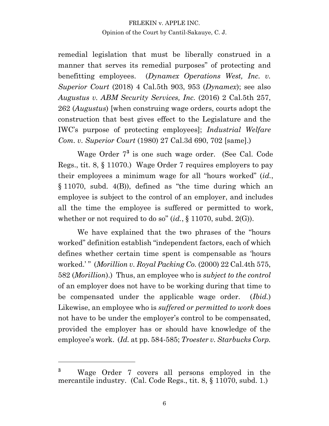remedial legislation that must be liberally construed in a manner that serves its remedial purposes" of protecting and benefitting employees. (*Dynamex Operations West, Inc. v. Superior Court* (2018) 4 Cal.5th 903, 953 (*Dynamex*); see also *Augustus v. ABM Security Services, Inc.* (2016) 2 Cal.5th 257, 262 (*Augustus*) [when construing wage orders, courts adopt the construction that best gives effect to the Legislature and the IWC·s purpose of protecting employees]; *Industrial Welfare Com. v. Superior Court* (1980) 27 Cal.3d 690, 702 [same].)

Wage Order 7**<sup>3</sup>** is one such wage order. (See Cal. Code Regs., tit. 8, § 11070.) Wage Order 7 requires employers to pay their employees a minimum wage for all "hours worked" (*id.*, § 11070, subd. 4(B)), defined as "the time during which an employee is subject to the control of an employer, and includes all the time the employee is suffered or permitted to work, whether or not required to do so"  $(id., § 11070, subd. 2(G))$ .

We have explained that the two phrases of the "hours worked" definition establish "independent factors, each of which defines whether certain time spent is compensable as 'hours' worked.<sup>\*</sup> *(Morillion v. Royal Packing Co. (2000)* 22 Cal.4th 575, 582 (*Morillion*).) Thus, an employee who is *subject to the control* of an employer does not have to be working during that time to be compensated under the applicable wage order. (*Ibid.*) Likewise, an employee who is *suffered or permitted to work* does not have to be under the employer's control to be compensated, provided the employer has or should have knowledge of the employee's work. (*Id.* at pp. 584-585; *Troester v. Starbucks Corp.* 

**<sup>3</sup>** Wage Order 7 covers all persons employed in the mercantile industry. (Cal. Code Regs., tit. 8, § 11070, subd. 1.)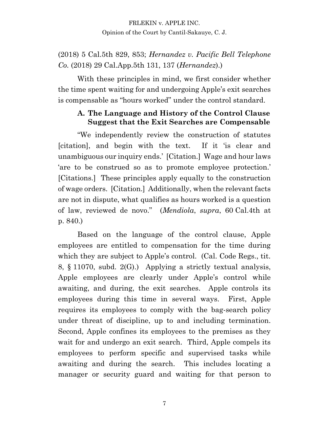# (2018) 5 Cal.5th 829, 853; *Hernandez v. Pacific Bell Telephone Co.* (2018) 29 Cal.App.5th 131, 137 (*Hernandez*).)

With these principles in mind, we first consider whether the time spent waiting for and undergoing Apple's exit searches is compensable as "hours worked" under the control standard.

## **A. The Language and History of the Control Clause Suggest that the Exit Searches are Compensable**

"We independently review the construction of statutes [citation], and begin with the text. If it 'is clear and unambiguous our inquiry ends.' [Citation.] Wage and hour laws are to be construed so as to promote employee protection. [Citations.] These principles apply equally to the construction of wage orders. [Citation.] Additionally, when the relevant facts are not in dispute, what qualifies as hours worked is a question of law, reviewed de novo.µ (*Mendiola*, *supra*, 60 Cal.4th at p. 840.)

Based on the language of the control clause, Apple employees are entitled to compensation for the time during which they are subject to Apple's control. (Cal. Code Regs., tit. 8, § 11070, subd. 2(G).) Applying a strictly textual analysis, Apple employees are clearly under Apple's control while awaiting, and during, the exit searches. Apple controls its employees during this time in several ways. First, Apple requires its employees to comply with the bag-search policy under threat of discipline, up to and including termination. Second, Apple confines its employees to the premises as they wait for and undergo an exit search. Third, Apple compels its employees to perform specific and supervised tasks while awaiting and during the search. This includes locating a manager or security guard and waiting for that person to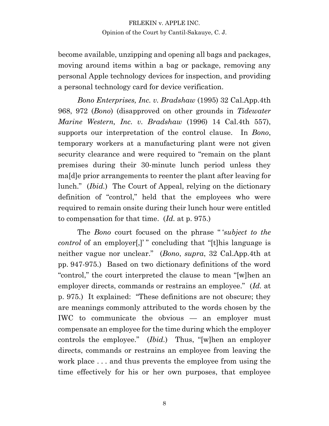become available, unzipping and opening all bags and packages, moving around items within a bag or package, removing any personal Apple technology devices for inspection, and providing a personal technology card for device verification.

*Bono Enterprises, Inc. v. Bradshaw* (1995) 32 Cal.App.4th 968, 972 (*Bono*) (disapproved on other grounds in *Tidewater Marine Western, Inc. v. Bradshaw* (1996) 14 Cal.4th 557), supports our interpretation of the control clause. In *Bono*, temporary workers at a manufacturing plant were not given security clearance and were required to "remain on the plant premises during their 30-minute lunch period unless they ma[d]e prior arrangements to reenter the plant after leaving for lunch." *(Ibid.)* The Court of Appeal, relying on the dictionary definition of "control," held that the employees who were required to remain onsite during their lunch hour were entitled to compensation for that time. (*Id.* at p. 975.)

The *Bono* court focused on the phrase "'*subject to the control* of an employer.]" concluding that "[t]his language is neither vague nor unclear.µ (*Bono*, *supra*, 32 Cal.App.4th at pp. 947-975.) Based on two dictionary definitions of the word "control," the court interpreted the clause to mean "[w]hen an employer directs, commands or restrains an employee." (*Id.* at p. 975.) It explained: "These definitions are not obscure; they are meanings commonly attributed to the words chosen by the IWC to communicate the obvious — an employer must compensate an employee for the time during which the employer controls the employee." (*Ibid.*) Thus, "[w]hen an employer directs, commands or restrains an employee from leaving the work place . . . and thus prevents the employee from using the time effectively for his or her own purposes, that employee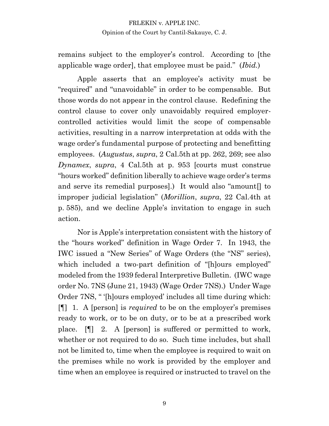remains subject to the employer's control. According to [the applicable wage order, that employee must be paid." (*Ibid.*)

Apple asserts that an employee's activity must be "required" and "unavoidable" in order to be compensable. But those words do not appear in the control clause. Redefining the control clause to cover only unavoidably required employercontrolled activities would limit the scope of compensable activities, resulting in a narrow interpretation at odds with the wage order's fundamental purpose of protecting and benefitting employees. (*Augustus*, *supra*, 2 Cal.5th at pp. 262, 269; see also *Dynamex*, *supra*, 4 Cal.5th at p. 953 [courts must construe "hours worked" definition liberally to achieve wage order's terms and serve its remedial purposes].) It would also "amount[] to improper judicial legislation" (*Morillion*, *supra*, 22 Cal.4th at p. 585), and we decline Apple's invitation to engage in such action.

Nor is Apple's interpretation consistent with the history of the "hours worked" definition in Wage Order 7. In 1943, the IWC issued a "New Series" of Wage Orders (the "NS" series), which included a two-part definition of "[h]ours employed" modeled from the 1939 federal Interpretive Bulletin. (IWC wage order No. 7NS (June 21, 1943) (Wage Order 7NS).) Under Wage Order 7NS, " '[h]ours employed' includes all time during which: [[[1] 1. A [person] is *required* to be on the employer's premises ready to work, or to be on duty, or to be at a prescribed work place. [¶] 2. A [person] is suffered or permitted to work, whether or not required to do so. Such time includes, but shall not be limited to, time when the employee is required to wait on the premises while no work is provided by the employer and time when an employee is required or instructed to travel on the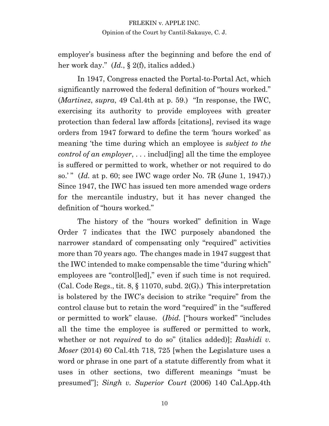employer's business after the beginning and before the end of her work day." (*Id.*, § 2(f), italics added.)

In 1947, Congress enacted the Portal-to-Portal Act, which significantly narrowed the federal definition of "hours worked." (*Martinez*, *supra*, 49 Cal.4th at p. 59.) "In response, the IWC, exercising its authority to provide employees with greater protection than federal law affords [citations], revised its wage orders from 1947 forward to define the term 'hours worked' as meaning the time during which an employee is *subject to the control of an employer*, . . . includ[ing] all the time the employee is suffered or permitted to work, whether or not required to do so.· µ (*Id.* at p. 60; see IWC wage order No. 7R (June 1, 1947).) Since 1947, the IWC has issued ten more amended wage orders for the mercantile industry, but it has never changed the definition of "hours worked."

The history of the "hours worked" definition in Wage Order 7 indicates that the IWC purposely abandoned the narrower standard of compensating only "required" activities more than 70 years ago. The changes made in 1947 suggest that the IWC intended to make compensable the time "during which" employees are "controlled]," even if such time is not required.  $(Cal. Code Regs., tit. 8, § 11070, subd. 2(G).)$  This interpretation is bolstered by the IWC's decision to strike "require" from the control clause but to retain the word "required" in the "suffered or permitted to work" clause. (*Ibid.* ["hours worked" "includes" all the time the employee is suffered or permitted to work, whether or not *required* to do so" (italics added)]; *Rashidi v. Moser* (2014) 60 Cal.4th 718, 725 [when the Legislature uses a word or phrase in one part of a statute differently from what it uses in other sections, two different meanings "must be presumed"]; *Singh v. Superior Court* (2006) 140 Cal.App.4th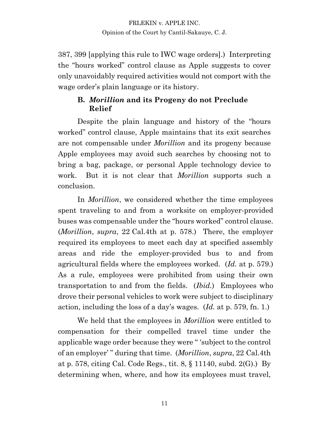387, 399 [applying this rule to IWC wage orders].) Interpreting the "hours worked" control clause as Apple suggests to cover only unavoidably required activities would not comport with the wage order's plain language or its history.

## **B.** *Morillion* **and its Progeny do not Preclude Relief**

Despite the plain language and history of the "hours worked" control clause, Apple maintains that its exit searches are not compensable under *Morillion* and its progeny because Apple employees may avoid such searches by choosing not to bring a bag, package, or personal Apple technology device to work. But it is not clear that *Morillion* supports such a conclusion.

In *Morillion*, we considered whether the time employees spent traveling to and from a worksite on employer-provided buses was compensable under the "hours worked" control clause. (*Morillion*, *supra*, 22 Cal.4th at p. 578.) There, the employer required its employees to meet each day at specified assembly areas and ride the employer-provided bus to and from agricultural fields where the employees worked. (*Id.* at p. 579.) As a rule, employees were prohibited from using their own transportation to and from the fields. (*Ibid.*) Employees who drove their personal vehicles to work were subject to disciplinary action, including the loss of a day·s wages. (*Id.* at p. 579, fn. 1.)

We held that the employees in *Morillion* were entitled to compensation for their compelled travel time under the applicable wage order because they were "subject to the control of an employer<sup>"</sup> during that time. (*Morillion*, *supra*, 22 Cal.4th at p. 578, citing Cal. Code Regs., tit. 8, § 11140, subd. 2(G).) By determining when, where, and how its employees must travel,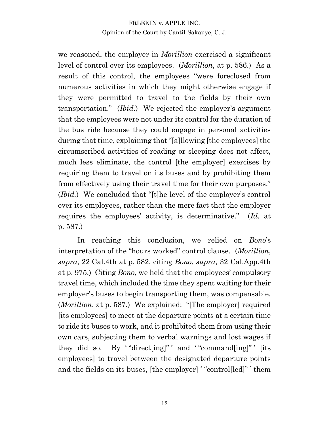we reasoned, the employer in *Morillion* exercised a significant level of control over its employees. (*Morillion*, at p. 586.) As a result of this control, the employees "were foreclosed from numerous activities in which they might otherwise engage if they were permitted to travel to the fields by their own transportation." *(Ibid.)* We rejected the employer's argument that the employees were not under its control for the duration of the bus ride because they could engage in personal activities during that time, explaining that "[a]llowing [the employees] the circumscribed activities of reading or sleeping does not affect, much less eliminate, the control [the employer] exercises by requiring them to travel on its buses and by prohibiting them from effectively using their travel time for their own purposes." (*Ibid.*) We concluded that "[t]he level of the employer's control over its employees, rather than the mere fact that the employer requires the employees' activity, is determinative." (*Id.* at p. 587.)

In reaching this conclusion, we relied on *Bono*'s interpretation of the "hours worked" control clause. (*Morillion*, *supra*, 22 Cal.4th at p. 582, citing *Bono*, *supra*, 32 Cal.App.4th at p. 975.) Citing *Bono*, we held that the employees' compulsory travel time, which included the time they spent waiting for their employer's buses to begin transporting them, was compensable. (*Morillion*, at p. 587.)We explained: "[The employer] required [its employees] to meet at the departure points at a certain time to ride its buses to work, and it prohibited them from using their own cars, subjecting them to verbal warnings and lost wages if they did so. By "direct  $\left[\frac{1}{2}\right]$ " and "command $\left[\frac{1}{2}\right]$ "  $\left[\frac{1}{5}\right]$ employees] to travel between the designated departure points and the fields on its buses, [the employer] "control[led]" 'them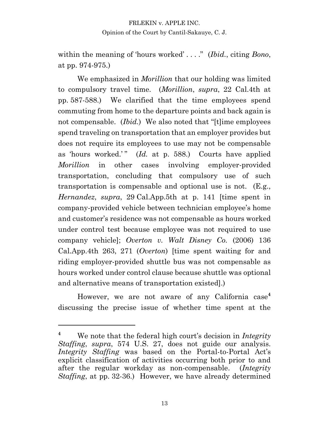within the meaning of 'hours worked' . . . . *" (Ibid., citing Bono,* at pp. 974-975.)

We emphasized in *Morillion* that our holding was limited to compulsory travel time. (*Morillion*, *supra*, 22 Cal.4th at pp. 587-588.) We clarified that the time employees spend commuting from home to the departure points and back again is not compensable. *(Ibid.)* We also noted that "[t]ime employees spend traveling on transportation that an employer provides but does not require its employees to use may not be compensable as 'hours worked.'" (*Id.* at p. 588.) Courts have applied *Morillion* in other cases involving employer-provided transportation, concluding that compulsory use of such transportation is compensable and optional use is not. (E.g., *Hernandez*, *supra*, 29 Cal.App.5th at p. 141 [time spent in company-provided vehicle between technician employee's home and customer's residence was not compensable as hours worked under control test because employee was not required to use company vehicle]; *Overton v. Walt Disney Co.* (2006) 136 Cal.App.4th 263, 271 (*Overton*) [time spent waiting for and riding employer-provided shuttle bus was not compensable as hours worked under control clause because shuttle was optional and alternative means of transportation existed].)

However, we are not aware of any California case**<sup>4</sup>** discussing the precise issue of whether time spent at the

<sup>&</sup>lt;sup>4</sup> We note that the federal high court's decision in *Integrity Staffing*, *supra*, 574 U.S. 27, does not guide our analysis. *Integrity Staffing* was based on the Portal-to-Portal Act's explicit classification of activities occurring both prior to and after the regular workday as non-compensable. (*Integrity Staffing*, at pp. 32-36.) However, we have already determined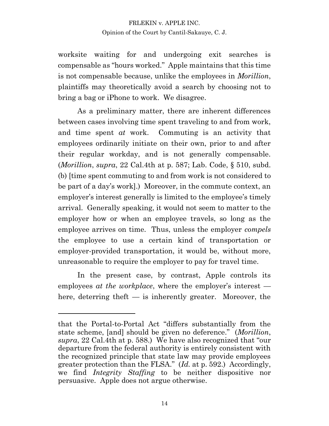worksite waiting for and undergoing exit searches is compensable as "hours worked." Apple maintains that this time is not compensable because, unlike the employees in *Morillion*, plaintiffs may theoretically avoid a search by choosing not to bring a bag or iPhone to work. We disagree.

As a preliminary matter, there are inherent differences between cases involving time spent traveling to and from work, and time spent *at* work. Commuting is an activity that employees ordinarily initiate on their own, prior to and after their regular workday, and is not generally compensable. (*Morillion*, *supra*, 22 Cal.4th at p. 587; Lab. Code, § 510, subd. (b) [time spent commuting to and from work is not considered to be part of a day's work].) Moreover, in the commute context, an employer's interest generally is limited to the employee's timely arrival. Generally speaking, it would not seem to matter to the employer how or when an employee travels, so long as the employee arrives on time. Thus, unless the employer *compels*  the employee to use a certain kind of transportation or employer-provided transportation, it would be, without more, unreasonable to require the employer to pay for travel time.

In the present case, by contrast, Apple controls its employees *at the workplace*, where the employer's interest  $$ here, deterring theft — is inherently greater. Moreover, the

that the Portal-to-Portal Act "differs substantially from the state scheme, [and] should be given no deference." (*Morillion*, *supra*, 22 Cal.4th at p. 588.) We have also recognized that "our departure from the federal authority is entirely consistent with the recognized principle that state law may provide employees greater protection than the FLSA." (*Id.* at p. 592.) Accordingly, we find *Integrity Staffing* to be neither dispositive nor persuasive. Apple does not argue otherwise.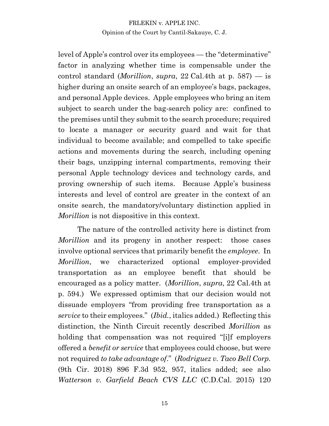level of Apple's control over its employees — the "determinative" factor in analyzing whether time is compensable under the control standard (*Morillion*, *supra*, 22 Cal.4th at p. 587) — is higher during an onsite search of an employee's bags, packages, and personal Apple devices. Apple employees who bring an item subject to search under the bag-search policy are: confined to the premises until they submit to the search procedure; required to locate a manager or security guard and wait for that individual to become available; and compelled to take specific actions and movements during the search, including opening their bags, unzipping internal compartments, removing their personal Apple technology devices and technology cards, and proving ownership of such items. Because Apple's business interests and level of control are greater in the context of an onsite search, the mandatory/voluntary distinction applied in *Morillion* is not dispositive in this context.

The nature of the controlled activity here is distinct from *Morillion* and its progeny in another respect: those cases involve optional services that primarily benefit the *employee*. In *Morillion*, we characterized optional employer-provided transportation as an employee benefit that should be encouraged as a policy matter. (*Morillion*, *supra*, 22 Cal.4th at p. 594.) We expressed optimism that our decision would not dissuade employers "from providing free transportation as a *service* to their employees." (*Ibid.*, italics added.) Reflecting this distinction, the Ninth Circuit recently described *Morillion* as holding that compensation was not required "[i]f employers offered a *benefit or service* that employees could choose, but were not required *to take advantage of.*" (*Rodriguez v. Taco Bell Corp.* (9th Cir. 2018) 896 F.3d 952, 957, italics added; see also *Watterson v. Garfield Beach CVS LLC* (C.D.Cal. 2015) 120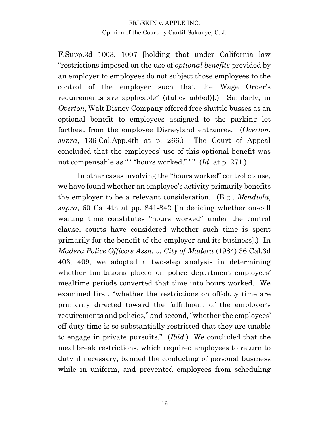F.Supp.3d 1003, 1007 [holding that under California law "restrictions imposed on the use of *optional benefits* provided by an employer to employees do not subject those employees to the control of the employer such that the Wage Order's requirements are applicable" (italics added).) Similarly, in *Overton*, Walt Disney Company offered free shuttle busses as an optional benefit to employees assigned to the parking lot farthest from the employee Disneyland entrances. (*Overton*, *supra*, 136 Cal.App.4th at p. 266.) The Court of Appeal concluded that the employees' use of this optional benefit was not compensable as " "hours worked."  $"$  (*Id.* at p. 271.)

In other cases involving the "hours worked" control clause, we have found whether an employee's activity primarily benefits the employer to be a relevant consideration. (E.g., *Mendiola*, *supra*, 60 Cal.4th at pp. 841-842 [in deciding whether on-call waiting time constitutes "hours worked" under the control clause, courts have considered whether such time is spent primarily for the benefit of the employer and its business].) In *Madera Police Officers Assn. v. City of Madera* (1984) 36 Cal.3d 403, 409, we adopted a two-step analysis in determining whether limitations placed on police department employees' mealtime periods converted that time into hours worked. We examined first, "whether the restrictions on off-duty time are primarily directed toward the fulfillment of the employer's requirements and policies," and second, "whether the employees' off-duty time is so substantially restricted that they are unable to engage in private pursuits." *(Ibid.)* We concluded that the meal break restrictions, which required employees to return to duty if necessary, banned the conducting of personal business while in uniform, and prevented employees from scheduling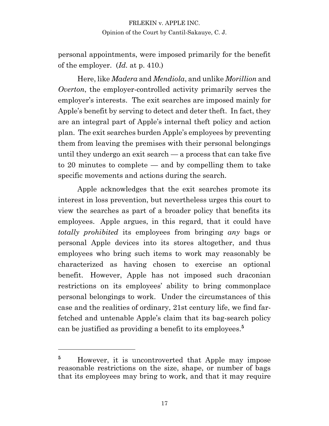personal appointments, were imposed primarily for the benefit of the employer. (*Id.* at p. 410.)

Here, like *Madera* and *Mendiola*, and unlike *Morillion* and *Overton*, the employer-controlled activity primarily serves the employer's interests. The exit searches are imposed mainly for Apple's benefit by serving to detect and deter theft. In fact, they are an integral part of Apple·s internal theft policy and action plan. The exit searches burden Apple·s employees by preventing them from leaving the premises with their personal belongings until they undergo an exit search — a process that can take five to 20 minutes to complete — and by compelling them to take specific movements and actions during the search.

Apple acknowledges that the exit searches promote its interest in loss prevention, but nevertheless urges this court to view the searches as part of a broader policy that benefits its employees. Apple argues, in this regard, that it could have *totally prohibited* its employees from bringing *any* bags or personal Apple devices into its stores altogether, and thus employees who bring such items to work may reasonably be characterized as having chosen to exercise an optional benefit. However, Apple has not imposed such draconian restrictions on its employees' ability to bring commonplace personal belongings to work. Under the circumstances of this case and the realities of ordinary, 21st century life, we find farfetched and untenable Apple's claim that its bag-search policy can be justified as providing a benefit to its employees.**<sup>5</sup>**

<sup>&</sup>lt;sup>5</sup> However, it is uncontroverted that Apple may impose reasonable restrictions on the size, shape, or number of bags that its employees may bring to work, and that it may require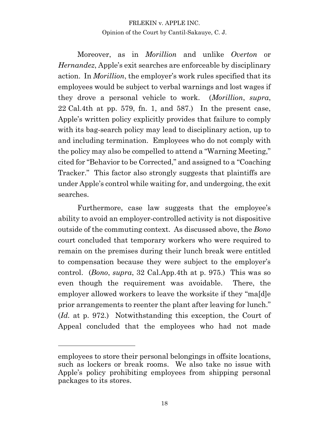Moreover, as in *Morillion* and unlike *Overton* or *Hernandez*, Apple's exit searches are enforceable by disciplinary action. In *Morillion*, the employer's work rules specified that its employees would be subject to verbal warnings and lost wages if they drove a personal vehicle to work. (*Morillion*, *supra*, 22 Cal.4th at pp. 579, fn. 1, and 587.) In the present case, Apple's written policy explicitly provides that failure to comply with its bag-search policy may lead to disciplinary action, up to and including termination. Employees who do not comply with the policy may also be compelled to attend a "Warning Meeting," cited for "Behavior to be Corrected," and assigned to a "Coaching" Tracker." This factor also strongly suggests that plaintiffs are under Apple·s control while waiting for, and undergoing, the exit searches.

Furthermore, case law suggests that the employee's ability to avoid an employer-controlled activity is not dispositive outside of the commuting context. As discussed above, the *Bono* court concluded that temporary workers who were required to remain on the premises during their lunch break were entitled to compensation because they were subject to the employer's control. (*Bono*, *supra*, 32 Cal.App.4th at p. 975.) This was so even though the requirement was avoidable. There, the employer allowed workers to leave the worksite if they "ma[d]e prior arrangements to reenter the plant after leaving for lunch." (*Id.* at p. 972.) Notwithstanding this exception, the Court of Appeal concluded that the employees who had not made

employees to store their personal belongings in offsite locations, such as lockers or break rooms. We also take no issue with Apple's policy prohibiting employees from shipping personal packages to its stores.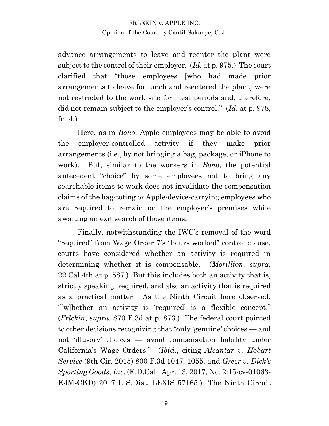advance arrangements to leave and reenter the plant were subject to the control of their employer. (*Id.* at p. 975.) The court clarified that "those employees [who had made prior arrangements to leave for lunch and reentered the plant] were not restricted to the work site for meal periods and, therefore, did not remain subject to the employer's control." (*Id.* at p. 978, fn. 4.)

Here, as in *Bono*, Apple employees may be able to avoid the employer-controlled activity if they make prior arrangements (i.e., by not bringing a bag, package, or iPhone to work). But, similar to the workers in *Bono*, the potential antecedent "choice" by some employees not to bring any searchable items to work does not invalidate the compensation claims of the bag-toting or Apple-device-carrying employees who are required to remain on the employer's premises while awaiting an exit search of those items.

Finally, notwithstanding the IWC's removal of the word "required" from Wage Order 7's "hours worked" control clause, courts have considered whether an activity is required in determining whether it is compensable. (*Morillion*, *supra*, 22 Cal.4th at p. 587.) But this includes both an activity that is, strictly speaking, required, and also an activity that is required as a practical matter. As the Ninth Circuit here observed, "[w]hether an activity is 'required' is a flexible concept." (*Frlekin*, *supra*, 870 F.3d at p. 873.) The federal court pointed to other decisions recognizing that "only 'genuine' choices — and not 'illusory' choices — avoid compensation liability under California's Wage Orders." *(Ibid., citing Alcantar v. Hobart Service* (9th Cir. 2015) 800 F.3d 1047, 1055, and *Greer v. Dick's Sporting Goods, Inc.* (E.D.Cal., Apr. 13, 2017, No. 2:15-cv-01063- KJM-CKD) 2017 U.S.Dist. LEXIS 57165.) The Ninth Circuit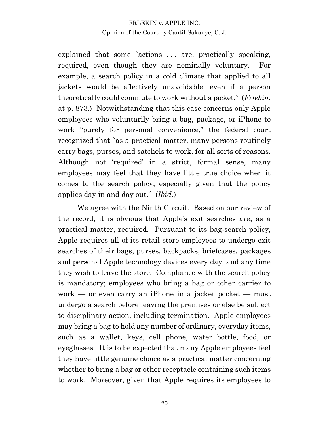explained that some "actions ... are, practically speaking, required, even though they are nominally voluntary. For example, a search policy in a cold climate that applied to all jackets would be effectively unavoidable, even if a person theoretically could commute to work without a jacket." (*Frlekin*, at p. 873.) Notwithstanding that this case concerns only Apple employees who voluntarily bring a bag, package, or iPhone to work "purely for personal convenience," the federal court recognized that "as a practical matter, many persons routinely carry bags, purses, and satchels to work, for all sorts of reasons. Although not 'required' in a strict, formal sense, many employees may feel that they have little true choice when it comes to the search policy, especially given that the policy applies day in and day out." (*Ibid.*)

We agree with the Ninth Circuit. Based on our review of the record, it is obvious that Apple·s exit searches are, as a practical matter, required. Pursuant to its bag-search policy, Apple requires all of its retail store employees to undergo exit searches of their bags, purses, backpacks, briefcases, packages and personal Apple technology devices every day, and any time they wish to leave the store. Compliance with the search policy is mandatory; employees who bring a bag or other carrier to work — or even carry an iPhone in a jacket pocket — must undergo a search before leaving the premises or else be subject to disciplinary action, including termination. Apple employees may bring a bag to hold any number of ordinary, everyday items, such as a wallet, keys, cell phone, water bottle, food, or eyeglasses. It is to be expected that many Apple employees feel they have little genuine choice as a practical matter concerning whether to bring a bag or other receptacle containing such items to work. Moreover, given that Apple requires its employees to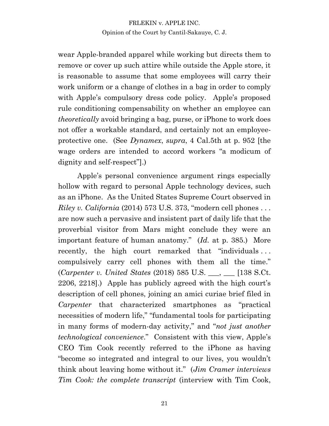wear Apple-branded apparel while working but directs them to remove or cover up such attire while outside the Apple store, it is reasonable to assume that some employees will carry their work uniform or a change of clothes in a bag in order to comply with Apple's compulsory dress code policy. Apple's proposed rule conditioning compensability on whether an employee can *theoretically* avoid bringing a bag, purse, or iPhone to work does not offer a workable standard, and certainly not an employeeprotective one. (See *Dynamex*, *supra*, 4 Cal.5th at p. 952 [the wage orders are intended to accord workers "a modicum of  $dignity$  and self-respect".)

Apple's personal convenience argument rings especially hollow with regard to personal Apple technology devices, such as an iPhone. As the United States Supreme Court observed in *Riley v. California* (2014) 573 U.S. 373, "modern cell phones . . . are now such a pervasive and insistent part of daily life that the proverbial visitor from Mars might conclude they were an important feature of human anatomy." (*Id.* at p. 385.) More recently, the high court remarked that "individuals . . . compulsively carry cell phones with them all the time." (*Carpenter v. United States* (2018) 585 U.S. \_\_\_, \_\_\_ [138 S.Ct.  $2206, 2218$ .) Apple has publicly agreed with the high court's description of cell phones, joining an amici curiae brief filed in *Carpenter* that characterized smartphones as "practical necessities of modern life," "fundamental tools for participating in many forms of modern-day activity," and "*not just another technological convenience*." Consistent with this view, Apple's CEO Tim Cook recently referred to the iPhone as having "become so integrated and integral to our lives, you wouldn't think about leaving home without it.µ (*Jim Cramer interviews Tim Cook: the complete transcript* (interview with Tim Cook,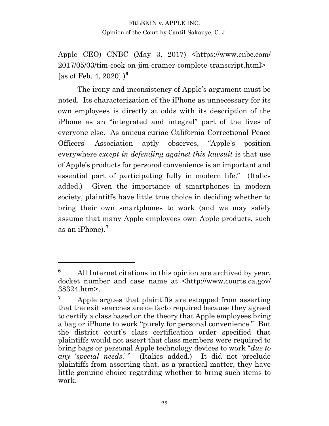Apple CEO) CNBC (May 3, 2017) <https://www.cnbc.com/ 2017/05/03/tim-cook-on-jim-cramer-complete-transcript.html> [as of Feb. 4, 2020].)**<sup>6</sup>**

The irony and inconsistency of Apple's argument must be noted. Its characterization of the iPhone as unnecessary for its own employees is directly at odds with its description of the iPhone as an "integrated and integral" part of the lives of everyone else. As amicus curiae California Correctional Peace Officers' Association aptly observes, "Apple's position everywhere *except in defending against this lawsuit* is that use of Apple·s products for personal convenience is an important and essential part of participating fully in modern life." (Italics added.) Given the importance of smartphones in modern society, plaintiffs have little true choice in deciding whether to bring their own smartphones to work (and we may safely assume that many Apple employees own Apple products, such as an iPhone).**<sup>7</sup>**

**<sup>6</sup>** All Internet citations in this opinion are archived by year, docket number and case name at <http://www.courts.ca.gov/ 38324.htm>.

<sup>&</sup>lt;sup>7</sup> Apple argues that plaintiffs are estopped from asserting that the exit searches are de facto required because they agreed to certify a class based on the theory that Apple employees bring a bag or iPhone to work "purely for personal convenience." But the district court's class certification order specified that plaintiffs would not assert that class members were required to bring bags or personal Apple technology devices to work "*due to any* ¶*special needs*.· µ (Italics added.) It did not preclude plaintiffs from asserting that, as a practical matter, they have little genuine choice regarding whether to bring such items to work.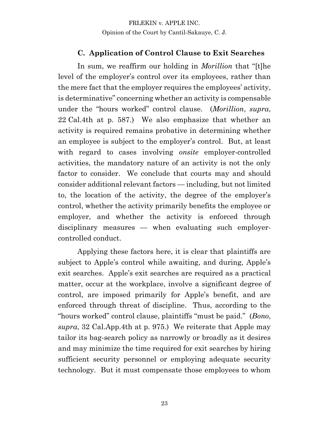#### **C. Application of Control Clause to Exit Searches**

In sum, we reaffirm our holding in *Morillion* that "[t]he level of the employer's control over its employees, rather than the mere fact that the employer requires the employees' activity, is determinative" concerning whether an activity is compensable under the "hours worked" control clause. (*Morillion*, *supra*, 22 Cal.4th at p. 587.) We also emphasize that whether an activity is required remains probative in determining whether an employee is subject to the employer's control. But, at least with regard to cases involving *onsite* employer-controlled activities, the mandatory nature of an activity is not the only factor to consider. We conclude that courts may and should consider additional relevant factors — including, but not limited to, the location of the activity, the degree of the employer's control, whether the activity primarily benefits the employee or employer, and whether the activity is enforced through disciplinary measures — when evaluating such employercontrolled conduct.

Applying these factors here, it is clear that plaintiffs are subject to Apple's control while awaiting, and during, Apple's exit searches. Apple's exit searches are required as a practical matter, occur at the workplace, involve a significant degree of control, are imposed primarily for Apple's benefit, and are enforced through threat of discipline. Thus, according to the "hours worked" control clause, plaintiffs "must be paid." *(Bono*, *supra*, 32 Cal.App.4th at p. 975.) We reiterate that Apple may tailor its bag-search policy as narrowly or broadly as it desires and may minimize the time required for exit searches by hiring sufficient security personnel or employing adequate security technology. But it must compensate those employees to whom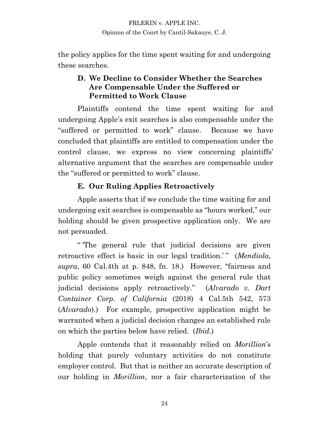the policy applies for the time spent waiting for and undergoing these searches.

### **D. We Decline to Consider Whether the Searches Are Compensable Under the Suffered or Permitted to Work Clause**

Plaintiffs contend the time spent waiting for and undergoing Apple's exit searches is also compensable under the "suffered or permitted to work" clause. Because we have concluded that plaintiffs are entitled to compensation under the control clause, we express no view concerning plaintiffs' alternative argument that the searches are compensable under the "suffered or permitted to work" clause.

## **E. Our Ruling Applies Retroactively**

Apple asserts that if we conclude the time waiting for and undergoing exit searches is compensable as "hours worked," our holding should be given prospective application only. We are not persuaded.

" The general rule that judicial decisions are given retroactive effect is basic in our legal tradition.<sup>'</sup>" (*Mendiola*, *supra*, 60 Cal.4th at p. 848, fn. 18.) However, "fairness and public policy sometimes weigh against the general rule that judicial decisions apply retroactively." *(Alvarado v. Dart Container Corp. of California* (2018) 4 Cal.5th 542, 573 (*Alvarado*).) For example, prospective application might be warranted when a judicial decision changes an established rule on which the parties below have relied. (*Ibid.*)

Apple contends that it reasonably relied on *Morillion*·s holding that purely voluntary activities do not constitute employer control. But that is neither an accurate description of our holding in *Morillion*, nor a fair characterization of the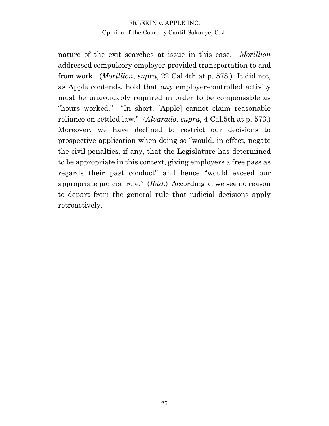nature of the exit searches at issue in this case. *Morillion*  addressed compulsory employer-provided transportation to and from work. (*Morillion*, *supra*, 22 Cal.4th at p. 578.) It did not, as Apple contends, hold that *any* employer-controlled activity must be unavoidably required in order to be compensable as "hours worked." "In short, [Apple] cannot claim reasonable reliance on settled law." (*Alvarado*, *supra*, 4 Cal.5th at p. 573.) Moreover, we have declined to restrict our decisions to prospective application when doing so "would, in effect, negate the civil penalties, if any, that the Legislature has determined to be appropriate in this context, giving employers a free pass as regards their past conduct" and hence "would exceed our appropriate judicial role." *(Ibid.)* Accordingly, we see no reason to depart from the general rule that judicial decisions apply retroactively.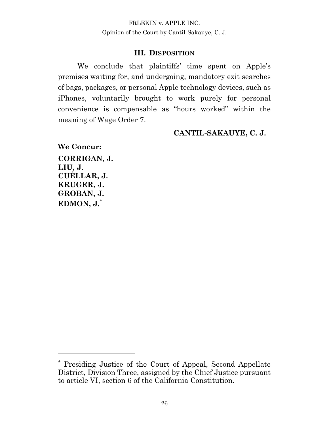#### **III. DISPOSITION**

We conclude that plaintiffs' time spent on Apple's premises waiting for, and undergoing, mandatory exit searches of bags, packages, or personal Apple technology devices, such as iPhones, voluntarily brought to work purely for personal convenience is compensable as "hours worked" within the meaning of Wage Order 7.

#### **CANTIL-SAKAUYE, C. J.**

**We Concur: CORRIGAN, J. LIU, J. CUÉLLAR, J. KRUGER, J. GROBAN, J. EDMON, J.**\*

**<sup>\*</sup>** Presiding Justice of the Court of Appeal, Second Appellate District, Division Three, assigned by the Chief Justice pursuant to article VI, section 6 of the California Constitution.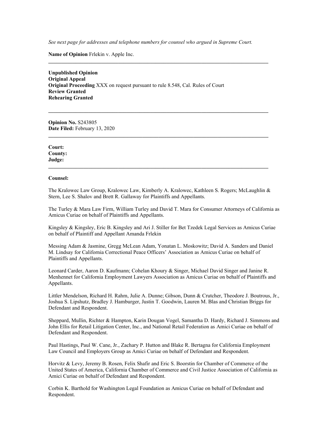*See next page for addresses and telephone numbers for counsel who argued in Supreme Court.*

**\_\_\_\_\_\_\_\_\_\_\_\_\_\_\_\_\_\_\_\_\_\_\_\_\_\_\_\_\_\_\_\_\_\_\_\_\_\_\_\_\_\_\_\_\_\_\_\_\_\_\_\_\_\_\_\_\_\_\_\_\_\_\_\_\_\_\_\_\_\_\_\_\_\_\_\_\_\_\_\_\_\_**

**\_\_\_\_\_\_\_\_\_\_\_\_\_\_\_\_\_\_\_\_\_\_\_\_\_\_\_\_\_\_\_\_\_\_\_\_\_\_\_\_\_\_\_\_\_\_\_\_\_\_\_\_\_\_\_\_\_\_\_\_\_\_\_\_\_\_\_\_\_\_\_\_\_\_\_\_\_\_\_\_\_\_**

**\_\_\_\_\_\_\_\_\_\_\_\_\_\_\_\_\_\_\_\_\_\_\_\_\_\_\_\_\_\_\_\_\_\_\_\_\_\_\_\_\_\_\_\_\_\_\_\_\_\_\_\_\_\_\_\_\_\_\_\_\_\_\_\_\_\_\_\_\_\_\_\_\_\_\_\_\_\_\_\_\_\_**

**\_\_\_\_\_\_\_\_\_\_\_\_\_\_\_\_\_\_\_\_\_\_\_\_\_\_\_\_\_\_\_\_\_\_\_\_\_\_\_\_\_\_\_\_\_\_\_\_\_\_\_\_\_\_\_\_\_\_\_\_\_\_\_\_\_\_\_\_\_\_\_\_\_\_\_\_\_\_\_\_\_\_**

**Name of Opinion** Frlekin v. Apple Inc.

**Unpublished Opinion Original Appeal Original Proceeding** XXX on request pursuant to rule 8.548, Cal. Rules of Court **Review Granted Rehearing Granted**

**Opinion No.** S243805 **Date Filed:** February 13, 2020

**Court: County: Judge:** 

#### **Counsel:**

The Kralowec Law Group, Kralowec Law, Kimberly A. Kralowec, Kathleen S. Rogers; McLaughlin & Stern, Lee S. Shalov and Brett R. Gallaway for Plaintiffs and Appellants.

The Turley & Mara Law Firm, William Turley and David T. Mara for Consumer Attorneys of California as Amicus Curiae on behalf of Plaintiffs and Appellants.

Kingsley & Kingsley, Eric B. Kingsley and Ari J. Stiller for Bet Tzedek Legal Services as Amicus Curiae on behalf of Plaintiff and Appellant Amanda Frlekin

Messing Adam & Jasmine, Gregg McLean Adam, Yonatan L. Moskowitz; David A. Sanders and Daniel M. Lindsay for California Correctional Peace Officers' Association as Amicus Curiae on behalf of Plaintiffs and Appellants.

Leonard Carder, Aaron D. Kaufmann; Cohelan Khoury & Singer, Michael David Singer and Janine R. Menhennet for California Employment Lawyers Association as Amicus Curiae on behalf of Plaintiffs and Appellants.

Littler Mendelson, Richard H. Rahm, Julie A. Dunne; Gibson, Dunn & Crutcher, Theodore J. Boutrous, Jr., Joshua S. Lipshutz, Bradley J. Hamburger, Justin T. Goodwin, Lauren M. Blas and Christian Briggs for Defendant and Respondent.

Sheppard, Mullin, Richter & Hampton, Karin Dougan Vogel, Samantha D. Hardy, Richard J. Simmons and John Ellis for Retail Litigation Center, Inc., and National Retail Federation as Amici Curiae on behalf of Defendant and Respondent.

Paul Hastings, Paul W. Cane, Jr., Zachary P. Hutton and Blake R. Bertagna for California Employment Law Council and Employers Group as Amici Curiae on behalf of Defendant and Respondent.

Horvitz & Levy, Jeremy B. Rosen, Felix Shafir and Eric S. Boorstin for Chamber of Commerce of the United States of America, California Chamber of Commerce and Civil Justice Association of California as Amici Curiae on behalf of Defendant and Respondent.

Corbin K. Barthold for Washington Legal Foundation as Amicus Curiae on behalf of Defendant and Respondent.